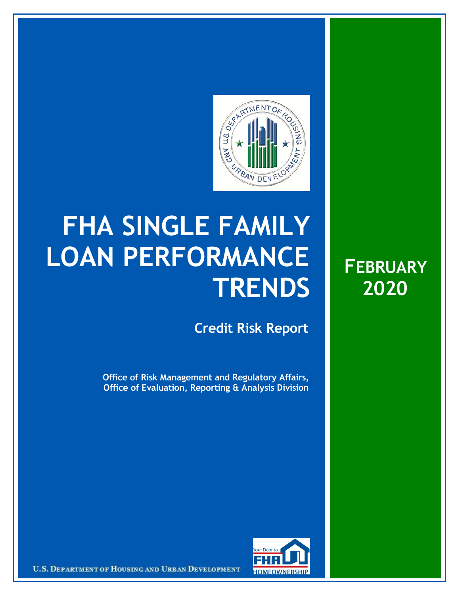

## **FHA SINGLE FAMILY LOAN PERFORMANCE TRENDS**

**Credit Risk Report**

**Office of Risk Management and Regulatory Affairs, Office of Evaluation, Reporting & Analysis Division**





U.S. DEPARTMENT OF HOUSING AND URBAN DEVELOPMENT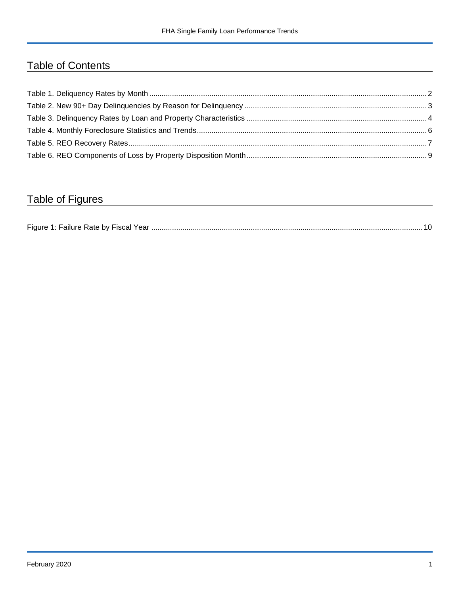## Table of Contents

## Table of Figures

| Figure 1 |  |
|----------|--|
|----------|--|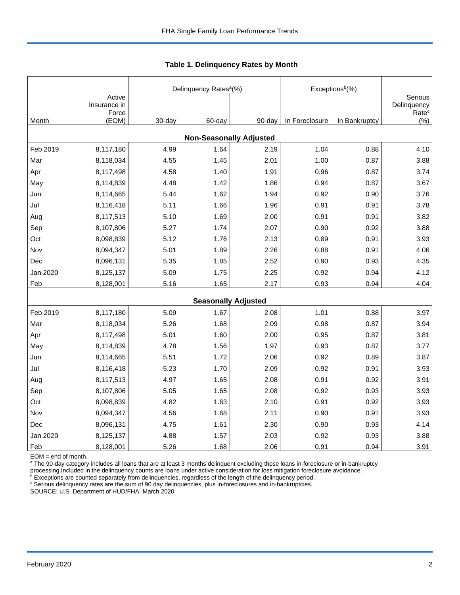|          |                        |        | Delinquency Rates <sup>a</sup> (%) |        | Exceptions <sup>b</sup> (%) |               |                              |
|----------|------------------------|--------|------------------------------------|--------|-----------------------------|---------------|------------------------------|
|          | Active<br>Insurance in |        |                                    |        |                             |               | Serious<br>Delinquency       |
| Month    | Force<br>(EOM)         | 30-day | 60-day                             | 90-day | In Foreclosure              | In Bankruptcy | Rate <sup>c</sup><br>$(\% )$ |
|          |                        |        | <b>Non-Seasonally Adjusted</b>     |        |                             |               |                              |
| Feb 2019 | 8,117,180              | 4.99   | 1.64                               | 2.19   | 1.04                        | 0.88          | 4.10                         |
| Mar      | 8,118,034              | 4.55   | 1.45                               | 2.01   | 1.00                        | 0.87          | 3.88                         |
| Apr      | 8,117,498              | 4.58   | 1.40                               | 1.91   | 0.96                        | 0.87          | 3.74                         |
| May      | 8,114,839              | 4.48   | 1.42                               | 1.86   | 0.94                        | 0.87          | 3.67                         |
| Jun      | 8,114,665              | 5.44   | 1.62                               | 1.94   | 0.92                        | 0.90          | 3.76                         |
| Jul      | 8,116,418              | 5.11   | 1.66                               | 1.96   | 0.91                        | 0.91          | 3.78                         |
| Aug      | 8,117,513              | 5.10   | 1.69                               | 2.00   | 0.91                        | 0.91          | 3.82                         |
| Sep      | 8,107,806              | 5.27   | 1.74                               | 2.07   | 0.90                        | 0.92          | 3.88                         |
| Oct      | 8,098,839              | 5.12   | 1.76                               | 2.13   | 0.89                        | 0.91          | 3.93                         |
| Nov      | 8,094,347              | 5.01   | 1.89                               | 2.26   | 0.88                        | 0.91          | 4.06                         |
| Dec      | 8,096,131              | 5.35   | 1.85                               | 2.52   | 0.90                        | 0.93          | 4.35                         |
| Jan 2020 | 8,125,137              | 5.09   | 1.75                               | 2.25   | 0.92                        | 0.94          | 4.12                         |
| Feb      | 8,128,001              | 5.16   | 1.65                               | 2.17   | 0.93                        | 0.94          | 4.04                         |
|          |                        |        | <b>Seasonally Adjusted</b>         |        |                             |               |                              |
| Feb 2019 | 8,117,180              | 5.09   | 1.67                               | 2.08   | 1.01                        | 0.88          | 3.97                         |
| Mar      | 8,118,034              | 5.26   | 1.68                               | 2.09   | 0.98                        | 0.87          | 3.94                         |
| Apr      | 8,117,498              | 5.01   | 1.60                               | 2.00   | 0.95                        | 0.87          | 3.81                         |
| May      | 8,114,839              | 4.78   | 1.56                               | 1.97   | 0.93                        | 0.87          | 3.77                         |
| Jun      | 8,114,665              | 5.51   | 1.72                               | 2.06   | 0.92                        | 0.89          | 3.87                         |
| Jul      | 8,116,418              | 5.23   | 1.70                               | 2.09   | 0.92                        | 0.91          | 3.93                         |
| Aug      | 8,117,513              | 4.97   | 1.65                               | 2.08   | 0.91                        | 0.92          | 3.91                         |
| Sep      | 8,107,806              | 5.05   | 1.65                               | 2.08   | 0.92                        | 0.93          | 3.93                         |
| Oct      | 8,098,839              | 4.82   | 1.63                               | 2.10   | 0.91                        | 0.92          | 3.93                         |
| Nov      | 8,094,347              | 4.56   | 1.68                               | 2.11   | 0.90                        | 0.91          | 3.93                         |
| Dec      | 8,096,131              | 4.75   | 1.61                               | 2.30   | 0.90                        | 0.93          | 4.14                         |
| Jan 2020 | 8,125,137              | 4.88   | 1.57                               | 2.03   | 0.92                        | 0.93          | 3.88                         |
| Feb      | 8,128,001              | 5.26   | 1.68                               | 2.06   | 0.91                        | 0.94          | 3.91                         |

 **Table 1. Delinquency Rates by Month**

EOM = end of month.

<sup>a</sup> The 90-day category includes all loans that are at least 3 months delinquent excluding those loans in-foreclosure or in-bankruptcy

processing.Included in the delinquency counts are loans under active consideration for loss mitigation foreclosure avoidance.<br><sup>b</sup> Exceptions are counted separately from delinquencies, regardless of the length of the delinq

<sup>c</sup> Serious delinquency rates are the sum of 90 day delinquencies, plus in-foreclosures and in-bankruptcies.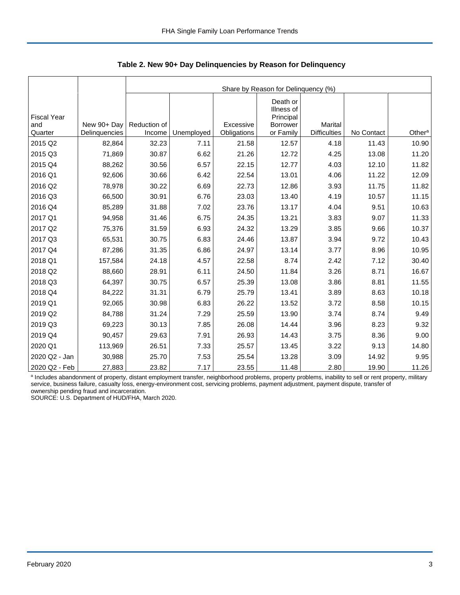|                                      |                              |                        | Share by Reason for Delinquency (%) |                          |                                                              |                                |            |                    |  |  |  |  |
|--------------------------------------|------------------------------|------------------------|-------------------------------------|--------------------------|--------------------------------------------------------------|--------------------------------|------------|--------------------|--|--|--|--|
| <b>Fiscal Year</b><br>and<br>Quarter | New 90+ Day<br>Delinquencies | Reduction of<br>Income | Unemployed                          | Excessive<br>Obligations | Death or<br>Illness of<br>Principal<br>Borrower<br>or Family | Marital<br><b>Difficulties</b> | No Contact | Other <sup>a</sup> |  |  |  |  |
| 2015 Q2                              | 82,864                       | 32.23                  | 7.11                                | 21.58                    | 12.57                                                        | 4.18                           | 11.43      | 10.90              |  |  |  |  |
|                                      |                              |                        |                                     |                          |                                                              |                                |            |                    |  |  |  |  |
| 2015 Q3                              | 71,869                       | 30.87                  | 6.62                                | 21.26                    | 12.72                                                        | 4.25                           | 13.08      | 11.20              |  |  |  |  |
| 2015 Q4                              | 88,262                       | 30.56                  | 6.57                                | 22.15                    | 12.77                                                        | 4.03                           | 12.10      | 11.82              |  |  |  |  |
| 2016 Q1                              | 92,606                       | 30.66                  | 6.42                                | 22.54                    | 13.01                                                        | 4.06                           | 11.22      | 12.09              |  |  |  |  |
| 2016 Q2                              | 78,978                       | 30.22                  | 6.69                                | 22.73                    | 12.86                                                        | 3.93                           | 11.75      | 11.82              |  |  |  |  |
| 2016 Q3                              | 66,500                       | 30.91                  | 6.76                                | 23.03                    | 13.40                                                        | 4.19                           | 10.57      | 11.15              |  |  |  |  |
| 2016 Q4                              | 85,289                       | 31.88                  | 7.02                                | 23.76                    | 13.17                                                        | 4.04                           | 9.51       | 10.63              |  |  |  |  |
| 2017 Q1                              | 94,958                       | 31.46                  | 6.75                                | 24.35                    | 13.21                                                        | 3.83                           | 9.07       | 11.33              |  |  |  |  |
| 2017 Q2                              | 75,376                       | 31.59                  | 6.93                                | 24.32                    | 13.29                                                        | 3.85                           | 9.66       | 10.37              |  |  |  |  |
| 2017 Q3                              | 65,531                       | 30.75                  | 6.83                                | 24.46                    | 13.87                                                        | 3.94                           | 9.72       | 10.43              |  |  |  |  |
| 2017 Q4                              | 87,286                       | 31.35                  | 6.86                                | 24.97                    | 13.14                                                        | 3.77                           | 8.96       | 10.95              |  |  |  |  |
| 2018 Q1                              | 157,584                      | 24.18                  | 4.57                                | 22.58                    | 8.74                                                         | 2.42                           | 7.12       | 30.40              |  |  |  |  |
| 2018 Q2                              | 88,660                       | 28.91                  | 6.11                                | 24.50                    | 11.84                                                        | 3.26                           | 8.71       | 16.67              |  |  |  |  |
| 2018 Q3                              | 64,397                       | 30.75                  | 6.57                                | 25.39                    | 13.08                                                        | 3.86                           | 8.81       | 11.55              |  |  |  |  |
| 2018 Q4                              | 84,222                       | 31.31                  | 6.79                                | 25.79                    | 13.41                                                        | 3.89                           | 8.63       | 10.18              |  |  |  |  |
| 2019 Q1                              | 92,065                       | 30.98                  | 6.83                                | 26.22                    | 13.52                                                        | 3.72                           | 8.58       | 10.15              |  |  |  |  |
| 2019 Q2                              | 84,788                       | 31.24                  | 7.29                                | 25.59                    | 13.90                                                        | 3.74                           | 8.74       | 9.49               |  |  |  |  |
| 2019 Q3                              | 69,223                       | 30.13                  | 7.85                                | 26.08                    | 14.44                                                        | 3.96                           | 8.23       | 9.32               |  |  |  |  |
| 2019 Q4                              | 90,457                       | 29.63                  | 7.91                                | 26.93                    | 14.43                                                        | 3.75                           | 8.36       | 9.00               |  |  |  |  |
| 2020 Q1                              | 113,969                      | 26.51                  | 7.33                                | 25.57                    | 13.45                                                        | 3.22                           | 9.13       | 14.80              |  |  |  |  |
| 2020 Q2 - Jan                        | 30,988                       | 25.70                  | 7.53                                | 25.54                    | 13.28                                                        | 3.09                           | 14.92      | 9.95               |  |  |  |  |
| 2020 Q2 - Feb                        | 27,883                       | 23.82                  | 7.17                                | 23.55                    | 11.48                                                        | 2.80                           | 19.90      | 11.26              |  |  |  |  |

 **Table 2. New 90+ Day Delinquencies by Reason for Delinquency**

a Includes abandonment of property, distant employment transfer, neighborhood problems, property problems, inability to sell or rent property, military service, business failure, casualty loss, energy-environment cost, servicing problems, payment adjustment, payment dispute, transfer of ownership pending fraud and incarceration.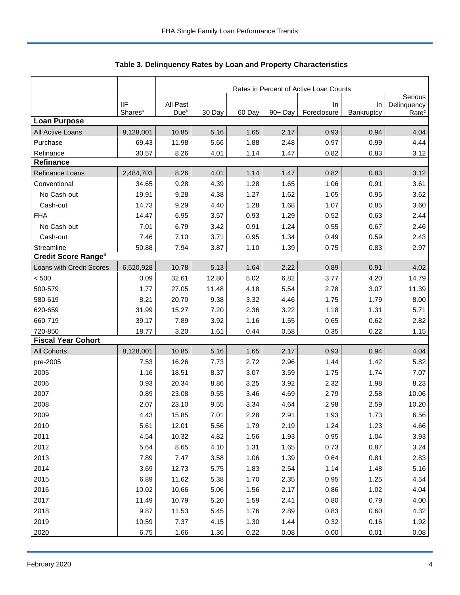|                            |                     | Rates in Percent of Active Loan Counts |        |        |            |             |            |                        |  |
|----------------------------|---------------------|----------------------------------------|--------|--------|------------|-------------|------------|------------------------|--|
|                            | <b>IIF</b>          | All Past                               |        |        |            | In          | In         | Serious<br>Delinquency |  |
|                            | Shares <sup>a</sup> | Dueb                                   | 30 Day | 60 Day | $90 + Day$ | Foreclosure | Bankruptcy | Rate <sup>c</sup>      |  |
| <b>Loan Purpose</b>        |                     |                                        |        |        |            |             |            |                        |  |
| All Active Loans           | 8,128,001           | 10.85                                  | 5.16   | 1.65   | 2.17       | 0.93        | 0.94       | 4.04                   |  |
| Purchase                   | 69.43               | 11.98                                  | 5.66   | 1.88   | 2.48       | 0.97        | 0.99       | 4.44                   |  |
| Refinance                  | 30.57               | 8.26                                   | 4.01   | 1.14   | 1.47       | 0.82        | 0.83       | 3.12                   |  |
| <b>Refinance</b>           |                     |                                        |        |        |            |             |            |                        |  |
| Refinance Loans            | 2,484,703           | 8.26                                   | 4.01   | 1.14   | 1.47       | 0.82        | 0.83       | 3.12                   |  |
| Conventional               | 34.65               | 9.28                                   | 4.39   | 1.28   | 1.65       | 1.06        | 0.91       | 3.61                   |  |
| No Cash-out                | 19.91               | 9.28                                   | 4.38   | 1.27   | 1.62       | 1.05        | 0.95       | 3.62                   |  |
| Cash-out                   | 14.73               | 9.29                                   | 4.40   | 1.28   | 1.68       | 1.07        | 0.85       | 3.60                   |  |
| <b>FHA</b>                 | 14.47               | 6.95                                   | 3.57   | 0.93   | 1.29       | 0.52        | 0.63       | 2.44                   |  |
| No Cash-out                | 7.01                | 6.79                                   | 3.42   | 0.91   | 1.24       | 0.55        | 0.67       | 2.46                   |  |
| Cash-out                   | 7.46                | 7.10                                   | 3.71   | 0.95   | 1.34       | 0.49        | 0.59       | 2.43                   |  |
| Streamline                 | 50.88               | 7.94                                   | 3.87   | 1.10   | 1.39       | 0.75        | 0.83       | 2.97                   |  |
| <b>Credit Score Ranged</b> |                     |                                        |        |        |            |             |            |                        |  |
| Loans with Credit Scores   | 6,520,928           | 10.78                                  | 5.13   | 1.64   | 2.22       | 0.89        | 0.91       | 4.02                   |  |
| < 500                      | 0.09                | 32.61                                  | 12.80  | 5.02   | 6.82       | 3.77        | 4.20       | 14.79                  |  |
| 500-579                    | 1.77                | 27.05                                  | 11.48  | 4.18   | 5.54       | 2.78        | 3.07       | 11.39                  |  |
| 580-619                    | 8.21                | 20.70                                  | 9.38   | 3.32   | 4.46       | 1.75        | 1.79       | 8.00                   |  |
| 620-659                    | 31.99               | 15.27                                  | 7.20   | 2.36   | 3.22       | 1.18        | 1.31       | 5.71                   |  |
| 660-719                    | 39.17               | 7.89                                   | 3.92   | 1.16   | 1.55       | 0.65        | 0.62       | 2.82                   |  |
| 720-850                    | 18.77               | 3.20                                   | 1.61   | 0.44   | 0.58       | 0.35        | 0.22       | 1.15                   |  |
| <b>Fiscal Year Cohort</b>  |                     |                                        |        |        |            |             |            |                        |  |
| <b>All Cohorts</b>         | 8,128,001           | 10.85                                  | 5.16   | 1.65   | 2.17       | 0.93        | 0.94       | 4.04                   |  |
| pre-2005                   | 7.53                | 16.26                                  | 7.73   | 2.72   | 2.96       | 1.44        | 1.42       | 5.82                   |  |
| 2005                       | 1.16                | 18.51                                  | 8.37   | 3.07   | 3.59       | 1.75        | 1.74       | 7.07                   |  |
| 2006                       | 0.93                | 20.34                                  | 8.86   | 3.25   | 3.92       | 2.32        | 1.98       | 8.23                   |  |
| 2007                       | 0.89                | 23.08                                  | 9.55   | 3.46   | 4.69       | 2.79        | 2.58       | 10.06                  |  |
| 2008                       | 2.07                | 23.10                                  | 9.55   | 3.34   | 4.64       | 2.98        | 2.59       | 10.20                  |  |
| 2009                       | 4.43                | 15.85                                  | 7.01   | 2.28   | 2.91       | 1.93        | 1.73       | 6.56                   |  |
| 2010                       | 5.61                | 12.01                                  | 5.56   | 1.79   | 2.19       | 1.24        | 1.23       | 4.66                   |  |
| 2011                       | 4.54                | 10.32                                  | 4.82   | 1.56   | 1.93       | 0.95        | 1.04       | 3.93                   |  |
| 2012                       | 5.64                | 8.65                                   | 4.10   | 1.31   | 1.65       | 0.73        | 0.87       | 3.24                   |  |
| 2013                       | 7.89                | 7.47                                   | 3.58   | 1.06   | 1.39       | 0.64        | 0.81       | 2.83                   |  |
| 2014                       | 3.69                | 12.73                                  | 5.75   | 1.83   | 2.54       | 1.14        | 1.48       | 5.16                   |  |
| 2015                       | 6.89                | 11.62                                  | 5.38   | 1.70   | 2.35       | 0.95        | 1.25       | 4.54                   |  |
| 2016                       | 10.02               | 10.66                                  | 5.06   | 1.56   | 2.17       | 0.86        | 1.02       | 4.04                   |  |
| 2017                       | 11.49               | 10.79                                  | 5.20   | 1.59   | 2.41       | 0.80        | 0.79       | 4.00                   |  |
| 2018                       | 9.87                | 11.53                                  | 5.45   | 1.76   | 2.89       | 0.83        | 0.60       | 4.32                   |  |
| 2019                       | 10.59               | 7.37                                   | 4.15   | 1.30   | 1.44       | 0.32        | 0.16       | 1.92                   |  |
| 2020                       | 6.75                | 1.66                                   | 1.36   | 0.22   | 0.08       | 0.00        | 0.01       | 0.08                   |  |

**Table 3. Delinquency Rates by Loan and Property Characteristics**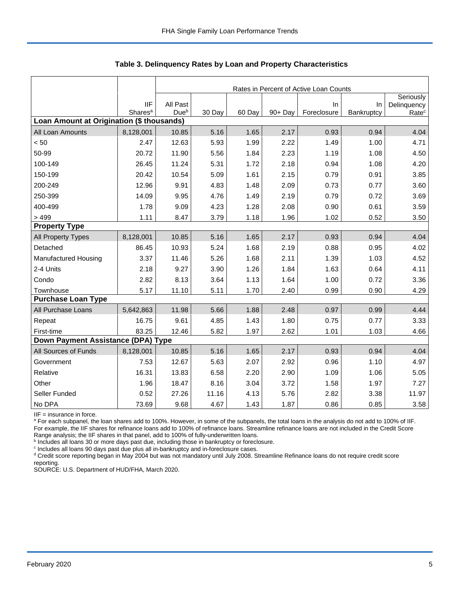|                                           |                     |          | Rates in Percent of Active Loan Counts |        |         |             |            |                          |  |  |  |
|-------------------------------------------|---------------------|----------|----------------------------------------|--------|---------|-------------|------------|--------------------------|--|--|--|
|                                           | <b>IIF</b>          | All Past |                                        |        |         | In          | $\ln$      | Seriously<br>Delinquency |  |  |  |
|                                           | Shares <sup>a</sup> | Dueb     | 30 Day                                 | 60 Day | 90+ Day | Foreclosure | Bankruptcy | Rate <sup>c</sup>        |  |  |  |
| Loan Amount at Origination (\$ thousands) |                     |          |                                        |        |         |             |            |                          |  |  |  |
| All Loan Amounts                          | 8,128,001           | 10.85    | 5.16                                   | 1.65   | 2.17    | 0.93        | 0.94       | 4.04                     |  |  |  |
| < 50                                      | 2.47                | 12.63    | 5.93                                   | 1.99   | 2.22    | 1.49        | 1.00       | 4.71                     |  |  |  |
| 50-99                                     | 20.72               | 11.90    | 5.56                                   | 1.84   | 2.23    | 1.19        | 1.08       | 4.50                     |  |  |  |
| 100-149                                   | 26.45               | 11.24    | 5.31                                   | 1.72   | 2.18    | 0.94        | 1.08       | 4.20                     |  |  |  |
| 150-199                                   | 20.42               | 10.54    | 5.09                                   | 1.61   | 2.15    | 0.79        | 0.91       | 3.85                     |  |  |  |
| 200-249                                   | 12.96               | 9.91     | 4.83                                   | 1.48   | 2.09    | 0.73        | 0.77       | 3.60                     |  |  |  |
| 250-399                                   | 14.09               | 9.95     | 4.76                                   | 1.49   | 2.19    | 0.79        | 0.72       | 3.69                     |  |  |  |
| 400-499                                   | 1.78                | 9.09     | 4.23                                   | 1.28   | 2.08    | 0.90        | 0.61       | 3.59                     |  |  |  |
| >499                                      | 1.11                | 8.47     | 3.79                                   | 1.18   | 1.96    | 1.02        | 0.52       | 3.50                     |  |  |  |
| <b>Property Type</b>                      |                     |          |                                        |        |         |             |            |                          |  |  |  |
| All Property Types                        | 8,128,001           | 10.85    | 5.16                                   | 1.65   | 2.17    | 0.93        | 0.94       | 4.04                     |  |  |  |
| Detached                                  | 86.45               | 10.93    | 5.24                                   | 1.68   | 2.19    | 0.88        | 0.95       | 4.02                     |  |  |  |
| Manufactured Housing                      | 3.37                | 11.46    | 5.26                                   | 1.68   | 2.11    | 1.39        | 1.03       | 4.52                     |  |  |  |
| 2-4 Units                                 | 2.18                | 9.27     | 3.90                                   | 1.26   | 1.84    | 1.63        | 0.64       | 4.11                     |  |  |  |
| Condo                                     | 2.82                | 8.13     | 3.64                                   | 1.13   | 1.64    | 1.00        | 0.72       | 3.36                     |  |  |  |
| Townhouse                                 | 5.17                | 11.10    | 5.11                                   | 1.70   | 2.40    | 0.99        | 0.90       | 4.29                     |  |  |  |
| <b>Purchase Loan Type</b>                 |                     |          |                                        |        |         |             |            |                          |  |  |  |
| All Purchase Loans                        | 5,642,863           | 11.98    | 5.66                                   | 1.88   | 2.48    | 0.97        | 0.99       | 4.44                     |  |  |  |
| Repeat                                    | 16.75               | 9.61     | 4.85                                   | 1.43   | 1.80    | 0.75        | 0.77       | 3.33                     |  |  |  |
| First-time                                | 83.25               | 12.46    | 5.82                                   | 1.97   | 2.62    | 1.01        | 1.03       | 4.66                     |  |  |  |
| Down Payment Assistance (DPA) Type        |                     |          |                                        |        |         |             |            |                          |  |  |  |
| All Sources of Funds                      | 8,128,001           | 10.85    | 5.16                                   | 1.65   | 2.17    | 0.93        | 0.94       | 4.04                     |  |  |  |
| Government                                | 7.53                | 12.67    | 5.63                                   | 2.07   | 2.92    | 0.96        | 1.10       | 4.97                     |  |  |  |
| Relative                                  | 16.31               | 13.83    | 6.58                                   | 2.20   | 2.90    | 1.09        | 1.06       | 5.05                     |  |  |  |
| Other                                     | 1.96                | 18.47    | 8.16                                   | 3.04   | 3.72    | 1.58        | 1.97       | 7.27                     |  |  |  |
| Seller Funded                             | 0.52                | 27.26    | 11.16                                  | 4.13   | 5.76    | 2.82        | 3.38       | 11.97                    |  |  |  |
| No DPA                                    | 73.69               | 9.68     | 4.67                                   | 1.43   | 1.87    | 0.86        | 0.85       | 3.58                     |  |  |  |

 **Table 3. Delinquency Rates by Loan and Property Characteristics**

IIF = insurance in force.

<sup>a</sup> For each subpanel, the loan shares add to 100%. However, in some of the subpanels, the total loans in the analysis do not add to 100% of IIF. For example, the IIF shares for refinance loans add to 100% of refinance loans. Streamline refinance loans are not included in the Credit Score

Range analysis; the IIF shares in that panel, add to 100% of fully-underwritten loans.<br><sup>b</sup> Includes all loans 30 or more days past due, including those in bankruptcy or foreclosure.

<sup>c</sup> Includes all loans 90 days past due plus all in-bankruptcy and in-foreclosure cases.

<sup>d</sup> Credit score reporting began in May 2004 but was not mandatory until July 2008. Streamline Refinance loans do not require credit score reporting.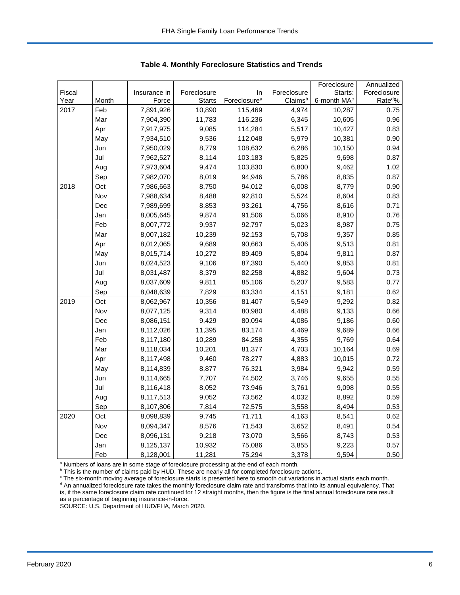|        |       |              |               |                          |             | Foreclosure             | Annualized           |
|--------|-------|--------------|---------------|--------------------------|-------------|-------------------------|----------------------|
| Fiscal |       | Insurance in | Foreclosure   | In                       | Foreclosure | Starts:                 | Foreclosure          |
| Year   | Month | Force        | <b>Starts</b> | Foreclosure <sup>a</sup> | Claimsb     | 6-month MA <sup>c</sup> | Rate <sup>do</sup> % |
| 2017   | Feb   | 7,891,926    | 10,890        | 115,469                  | 4,974       | 10,287                  | 0.75                 |
|        | Mar   | 7,904,390    | 11,783        | 116,236                  | 6,345       | 10,605                  | 0.96                 |
|        | Apr   | 7,917,975    | 9,085         | 114,284                  | 5,517       | 10,427                  | 0.83                 |
|        | May   | 7,934,510    | 9,536         | 112,048                  | 5,979       | 10,381                  | 0.90                 |
|        | Jun   | 7,950,029    | 8,779         | 108,632                  | 6,286       | 10,150                  | 0.94                 |
|        | Jul   | 7,962,527    | 8,114         | 103,183                  | 5,825       | 9,698                   | 0.87                 |
|        | Aug   | 7,973,604    | 9,474         | 103,830                  | 6,800       | 9,462                   | 1.02                 |
|        | Sep   | 7,982,070    | 8,019         | 94,946                   | 5,786       | 8,835                   | 0.87                 |
| 2018   | Oct   | 7,986,663    | 8,750         | 94,012                   | 6,008       | 8,779                   | 0.90                 |
|        | Nov   | 7,988,634    | 8,488         | 92,810                   | 5,524       | 8,604                   | 0.83                 |
|        | Dec   | 7,989,699    | 8,853         | 93,261                   | 4,756       | 8,616                   | 0.71                 |
|        | Jan   | 8,005,645    | 9,874         | 91,506                   | 5,066       | 8,910                   | 0.76                 |
|        | Feb   | 8,007,772    | 9,937         | 92,797                   | 5,023       | 8,987                   | 0.75                 |
|        | Mar   | 8,007,182    | 10,239        | 92,153                   | 5,708       | 9,357                   | 0.85                 |
|        | Apr   | 8,012,065    | 9,689         | 90,663                   | 5,406       | 9,513                   | 0.81                 |
|        | May   | 8,015,714    | 10,272        | 89,409                   | 5,804       | 9,811                   | 0.87                 |
|        | Jun   | 8,024,523    | 9,106         | 87,390                   | 5,440       | 9,853                   | 0.81                 |
|        | Jul   | 8,031,487    | 8,379         | 82,258                   | 4,882       | 9,604                   | 0.73                 |
|        | Aug   | 8,037,609    | 9,811         | 85,106                   | 5,207       | 9,583                   | 0.77                 |
|        | Sep   | 8,048,639    | 7,829         | 83,334                   | 4,151       | 9,181                   | 0.62                 |
| 2019   | Oct   | 8,062,967    | 10,356        | 81,407                   | 5,549       | 9,292                   | 0.82                 |
|        | Nov   | 8,077,125    | 9,314         | 80,980                   | 4,488       | 9,133                   | 0.66                 |
|        | Dec   | 8,086,151    | 9,429         | 80,094                   | 4,086       | 9,186                   | 0.60                 |
|        | Jan   | 8,112,026    | 11,395        | 83,174                   | 4,469       | 9,689                   | 0.66                 |
|        | Feb   | 8,117,180    | 10,289        | 84,258                   | 4,355       | 9,769                   | 0.64                 |
|        | Mar   | 8,118,034    | 10,201        | 81,377                   | 4,703       | 10,164                  | 0.69                 |
|        | Apr   | 8,117,498    | 9,460         | 78,277                   | 4,883       | 10,015                  | 0.72                 |
|        | May   | 8,114,839    | 8,877         | 76,321                   | 3,984       | 9,942                   | 0.59                 |
|        | Jun   | 8,114,665    | 7,707         | 74,502                   | 3,746       | 9,655                   | 0.55                 |
|        | Jul   | 8,116,418    | 8,052         | 73,946                   | 3,761       | 9,098                   | 0.55                 |
|        | Aug   | 8,117,513    | 9,052         | 73,562                   | 4,032       | 8,892                   | 0.59                 |
|        | Sep   | 8,107,806    | 7,814         | 72,575                   | 3,558       | 8,494                   | 0.53                 |
| 2020   | Oct   | 8,098,839    | 9,745         | 71,711                   | 4,163       | 8,541                   | 0.62                 |
|        | Nov   | 8,094,347    | 8,576         | 71,543                   | 3,652       | 8,491                   | 0.54                 |
|        | Dec   | 8,096,131    | 9,218         | 73,070                   | 3,566       | 8,743                   | 0.53                 |
|        | Jan   | 8,125,137    | 10,932        | 75,086                   | 3,855       | 9,223                   | 0.57                 |
|        | Feb   | 8,128,001    | 11,281        | 75,294                   | 3,378       | 9,594                   | 0.50                 |

 **Table 4. Monthly Foreclosure Statistics and Trends**

<sup>a</sup> Numbers of loans are in some stage of foreclosure processing at the end of each month.

<sup>b</sup> This is the number of claims paid by HUD. These are nearly all for completed foreclosure actions.

<sup>c</sup> The six-month moving average of foreclosure starts is presented here to smooth out variations in actual starts each month. <sup>d</sup> An annualized foreclosure rate takes the monthly foreclosure claim rate and transforms that into its annual equivalency. That is, if the same foreclosure claim rate continued for 12 straight months, then the figure is the final annual foreclosure rate result

as a percentage of beginning insurance-in-force.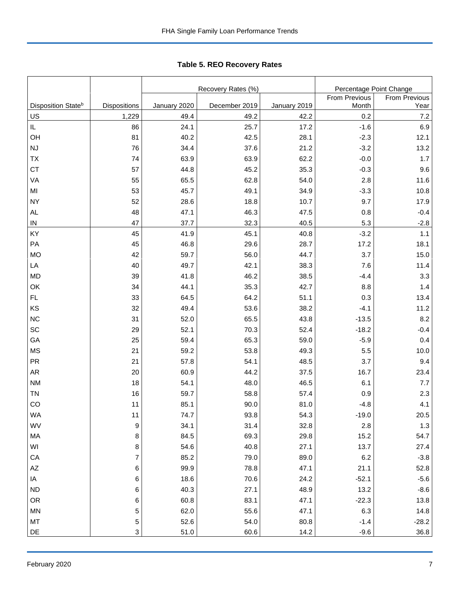Tabl e 5. REO R ecovery R ates **Table 5. REO Recovery Rates**

|                                |                         |              | Recovery Rates (%) |              | Percentage Point Change |               |  |  |
|--------------------------------|-------------------------|--------------|--------------------|--------------|-------------------------|---------------|--|--|
|                                |                         |              |                    |              | From Previous           | From Previous |  |  |
| Disposition State <sup>b</sup> | <b>Dispositions</b>     | January 2020 | December 2019      | January 2019 | Month                   | Year          |  |  |
| US                             | 1,229                   | 49.4         | 49.2               | 42.2         | 0.2                     | 7.2           |  |  |
| IL                             | 86                      | 24.1         | 25.7               | 17.2         | $-1.6$                  | 6.9           |  |  |
| OH                             | 81                      | 40.2         | 42.5               | 28.1         | $-2.3$                  | 12.1          |  |  |
| NJ                             | 76                      | 34.4         | 37.6               | 21.2         | $-3.2$                  | 13.2          |  |  |
| TX                             | 74                      | 63.9         | 63.9               | 62.2         | $-0.0$                  | 1.7           |  |  |
| CT                             | 57                      | 44.8         | 45.2               | 35.3         | $-0.3$                  | 9.6           |  |  |
| VA                             | 55                      | 65.5         | 62.8               | 54.0         | 2.8                     | 11.6          |  |  |
| MI                             | 53                      | 45.7         | 49.1               | 34.9         | $-3.3$                  | 10.8          |  |  |
| <b>NY</b>                      | 52                      | 28.6         | 18.8               | 10.7         | 9.7                     | 17.9          |  |  |
| <b>AL</b>                      | 48                      | 47.1         | 46.3               | 47.5         | 0.8                     | $-0.4$        |  |  |
| ${\sf IN}$                     | 47                      | 37.7         | 32.3               | 40.5         | 5.3                     | $-2.8$        |  |  |
| KY                             | 45                      | 41.9         | 45.1               | 40.8         | $-3.2$                  | 1.1           |  |  |
| PA                             | 45                      | 46.8         | 29.6               | 28.7         | 17.2                    | 18.1          |  |  |
| <b>MO</b>                      | 42                      | 59.7         | 56.0               | 44.7         | 3.7                     | 15.0          |  |  |
| LA                             | 40                      | 49.7         | 42.1               | 38.3         | 7.6                     | 11.4          |  |  |
| <b>MD</b>                      | 39                      | 41.8         | 46.2               | 38.5         | $-4.4$                  | 3.3           |  |  |
| OK                             | 34                      | 44.1         | 35.3               | 42.7         | 8.8                     | 1.4           |  |  |
| FL                             | 33                      | 64.5         | 64.2               | 51.1         | 0.3                     | 13.4          |  |  |
| KS                             | 32                      | 49.4         | 53.6               | 38.2         | $-4.1$                  | 11.2          |  |  |
| <b>NC</b>                      | 31                      | 52.0         | 65.5               | 43.8         | $-13.5$                 | 8.2           |  |  |
| SC                             | 29                      | 52.1         | 70.3               | 52.4         | $-18.2$                 | $-0.4$        |  |  |
| GA                             | 25                      | 59.4         | 65.3               | 59.0         | $-5.9$                  | 0.4           |  |  |
| <b>MS</b>                      | 21                      | 59.2         | 53.8               | 49.3         | 5.5                     | 10.0          |  |  |
| PR                             | 21                      | 57.8         | 54.1               | 48.5         | 3.7                     | 9.4           |  |  |
| <b>AR</b>                      | 20                      | 60.9         | 44.2               | 37.5         | 16.7                    | 23.4          |  |  |
| <b>NM</b>                      | 18                      | 54.1         | 48.0               | 46.5         | 6.1                     | 7.7           |  |  |
| <b>TN</b>                      | 16                      | 59.7         | 58.8               | 57.4         | 0.9                     | 2.3           |  |  |
| CO                             | 11                      | 85.1         | 90.0               | 81.0         | $-4.8$                  | 4.1           |  |  |
| WA                             | 11                      | 74.7         | 93.8               | 54.3         | $-19.0$                 | 20.5          |  |  |
| WV                             | $\boldsymbol{9}$        | 34.1         | 31.4               | 32.8         | 2.8                     | $1.3$         |  |  |
| MA                             | 8                       | 84.5         | 69.3               | 29.8         | 15.2                    | 54.7          |  |  |
| WI                             | 8                       | 54.6         | 40.8               | 27.1         | 13.7                    | 27.4          |  |  |
| CA                             | $\overline{\mathbf{7}}$ | 85.2         | 79.0               | 89.0         | $6.2\,$                 | $-3.8$        |  |  |
| $\mathsf{A}\mathsf{Z}$         | 6                       | 99.9         | 78.8               | 47.1         | 21.1                    | 52.8          |  |  |
| IA                             | 6                       | 18.6         | 70.6               | 24.2         | $-52.1$                 | $-5.6$        |  |  |
| <b>ND</b>                      | 6                       | 40.3         | 27.1               | 48.9         | 13.2                    | $-8.6$        |  |  |
| OR                             | 6                       | 60.8         | 83.1               | 47.1         | $-22.3$                 | 13.8          |  |  |
| MN                             | $\mathbf 5$             | 62.0         | 55.6               | 47.1         | 6.3                     | 14.8          |  |  |
| MT                             | 5                       | 52.6         | 54.0               | 80.8         | $-1.4$                  | $-28.2$       |  |  |
| $\mathsf{DE}% _{T}$            | 3                       | 51.0         | 60.6               | 14.2         | $-9.6$                  | 36.8          |  |  |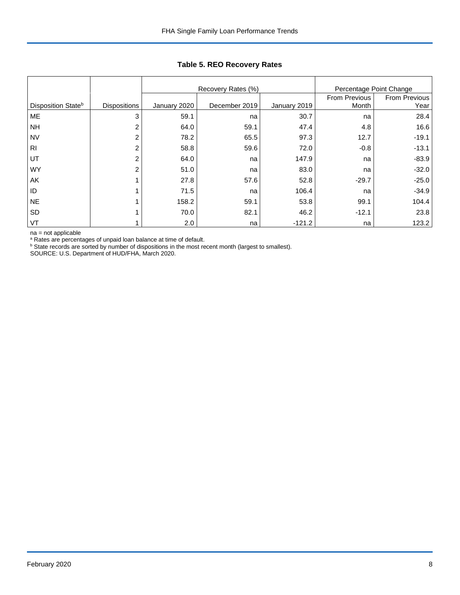|                                |                     |              | Percentage Point Change<br>Recovery Rates (%) |              |                        |                       |  |
|--------------------------------|---------------------|--------------|-----------------------------------------------|--------------|------------------------|-----------------------|--|
| Disposition State <sup>b</sup> | <b>Dispositions</b> | January 2020 | December 2019                                 | January 2019 | From Previous<br>Month | From Previous<br>Year |  |
| ME                             | 3                   | 59.1         | na                                            | 30.7         | na                     | 28.4                  |  |
| <b>NH</b>                      | 2                   | 64.0         | 59.1                                          | 47.4         | 4.8                    | 16.6                  |  |
| <b>NV</b>                      | 2                   | 78.2         | 65.5                                          | 97.3         | 12.7                   | $-19.1$               |  |
| R <sub>1</sub>                 | 2                   | 58.8         | 59.6                                          | 72.0         | $-0.8$                 | $-13.1$               |  |
| UT                             | 2                   | 64.0         | na                                            | 147.9        | na                     | $-83.9$               |  |
| <b>WY</b>                      | $\overline{2}$      | 51.0         | na                                            | 83.0         | na                     | $-32.0$               |  |
| AK                             |                     | 27.8         | 57.6                                          | 52.8         | $-29.7$                | $-25.0$               |  |
| ID                             |                     | 71.5         | na                                            | 106.4        | na                     | $-34.9$               |  |
| <b>NE</b>                      |                     | 158.2        | 59.1                                          | 53.8         | 99.1                   | 104.4                 |  |
| <b>SD</b>                      |                     | 70.0         | 82.1                                          | 46.2         | $-12.1$                | 23.8                  |  |
| VT                             |                     | 2.0          | na                                            | $-121.2$     | na                     | 123.2                 |  |

## **Table 5. REO Recovery Rates**

na = not applicable

<sup>a</sup> Rates are percentages of unpaid loan balance at time of default.

<sup>b</sup> State records are sorted by number of dispositions in the most recent month (largest to smallest).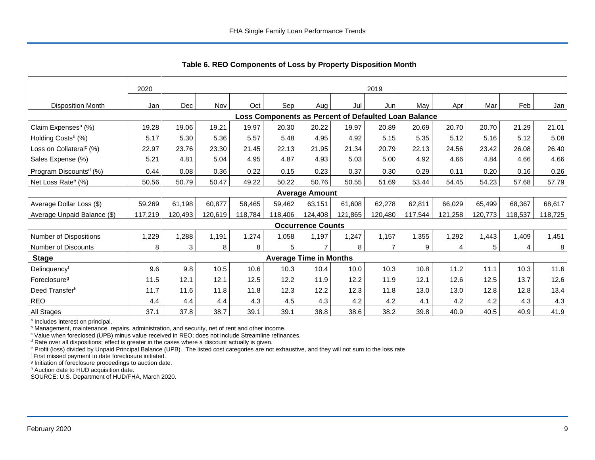|                                                      | 2020    |         | 2019    |         |         |                               |         |         |         |         |         |         |         |
|------------------------------------------------------|---------|---------|---------|---------|---------|-------------------------------|---------|---------|---------|---------|---------|---------|---------|
| <b>Disposition Month</b>                             | Jan     | Dec     | Nov     | Oct     | Sep     | Aug                           | Jul     | Jun     | May     | Apr     | Mar     | Feb     | Jan     |
| Loss Components as Percent of Defaulted Loan Balance |         |         |         |         |         |                               |         |         |         |         |         |         |         |
| Claim Expenses <sup>a</sup> (%)                      | 19.28   | 19.06   | 19.21   | 19.97   | 20.30   | 20.22                         | 19.97   | 20.89   | 20.69   | 20.70   | 20.70   | 21.29   | 21.01   |
| Holding Costs <sup>b</sup> (%)                       | 5.17    | 5.30    | 5.36    | 5.57    | 5.48    | 4.95                          | 4.92    | 5.15    | 5.35    | 5.12    | 5.16    | 5.12    | 5.08    |
| Loss on Collateral <sup>c</sup> (%)                  | 22.97   | 23.76   | 23.30   | 21.45   | 22.13   | 21.95                         | 21.34   | 20.79   | 22.13   | 24.56   | 23.42   | 26.08   | 26.40   |
| Sales Expense (%)                                    | 5.21    | 4.81    | 5.04    | 4.95    | 4.87    | 4.93                          | 5.03    | 5.00    | 4.92    | 4.66    | 4.84    | 4.66    | 4.66    |
| Program Discounts <sup>d</sup> (%)                   | 0.44    | 0.08    | 0.36    | 0.22    | 0.15    | 0.23                          | 0.37    | 0.30    | 0.29    | 0.11    | 0.20    | 0.16    | 0.26    |
| Net Loss Rate <sup>e</sup> (%)                       | 50.56   | 50.79   | 50.47   | 49.22   | 50.22   | 50.76                         | 50.55   | 51.69   | 53.44   | 54.45   | 54.23   | 57.68   | 57.79   |
|                                                      |         |         |         |         |         | <b>Average Amount</b>         |         |         |         |         |         |         |         |
| Average Dollar Loss (\$)                             | 59,269  | 61,198  | 60,877  | 58,465  | 59,462  | 63.151                        | 61.608  | 62,278  | 62.811  | 66.029  | 65,499  | 68,367  | 68,617  |
| Average Unpaid Balance (\$)                          | 117,219 | 120,493 | 120,619 | 118,784 | 118,406 | 124,408                       | 121,865 | 120,480 | 117,544 | 121,258 | 120,773 | 118,537 | 118,725 |
|                                                      |         |         |         |         |         | <b>Occurrence Counts</b>      |         |         |         |         |         |         |         |
| Number of Dispositions                               | 1,229   | 1,288   | 1,191   | 1,274   | 1,058   | 1,197                         | 1,247   | 1,157   | 1,355   | 1,292   | 1,443   | 1,409   | 1,451   |
| Number of Discounts                                  | 8       | 3       | 8       | 8       | 5       | $\overline{7}$                | 8       | 7       | 9       | 4       | 5       | 4       | 8       |
| <b>Stage</b>                                         |         |         |         |         |         | <b>Average Time in Months</b> |         |         |         |         |         |         |         |
| Delinquencyf                                         | 9.6     | 9.8     | 10.5    | 10.6    | 10.3    | 10.4                          | 10.0    | 10.3    | 10.8    | 11.2    | 11.1    | 10.3    | 11.6    |
| Foreclosure <sup>g</sup>                             | 11.5    | 12.1    | 12.1    | 12.5    | 12.2    | 11.9                          | 12.2    | 11.9    | 12.1    | 12.6    | 12.5    | 13.7    | 12.6    |
| Deed Transferh                                       | 11.7    | 11.6    | 11.8    | 11.8    | 12.3    | 12.2                          | 12.3    | 11.8    | 13.0    | 13.0    | 12.8    | 12.8    | 13.4    |
| REO                                                  | 4.4     | 4.4     | 4.4     | 4.3     | 4.5     | 4.3                           | 4.2     | 4.2     | 4.1     | 4.2     | 4.2     | 4.3     | 4.3     |
| All Stages                                           | 37.1    | 37.8    | 38.7    | 39.1    | 39.1    | 38.8                          | 38.6    | 38.2    | 39.8    | 40.9    | 40.5    | 40.9    | 41.9    |

 **Table 6. REO Components of Loss by Property Disposition Month**

<sup>a</sup> Includes interest on principal.

<sup>b</sup> Management, maintenance, repairs, administration, and security, net of rent and other income.

c Value when foreclosed (UPB) minus value received in REO; does not include Streamline refinances.

<sup>d</sup> Rate over all dispositions; effect is greater in the cases where a discount actually is given.

e Profit (loss) divided by Unpaid Principal Balance (UPB). The listed cost categories are not exhaustive, and they will not sum to the loss rate

f First missed payment to date foreclosure initiated.

<sup>g</sup> Initiation of foreclosure proceedings to auction date.

h Auction date to HUD acquisition date.